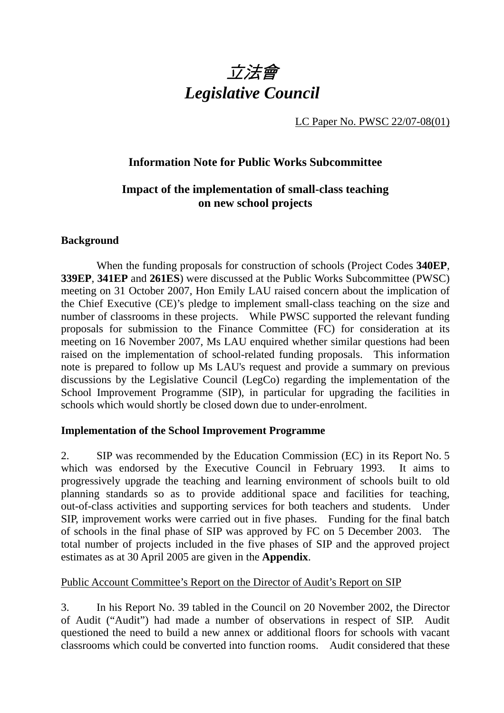

LC Paper No. PWSC 22/07-08(01)

## **Information Note for Public Works Subcommittee**

# **Impact of the implementation of small-class teaching on new school projects**

#### **Background**

 When the funding proposals for construction of schools (Project Codes **340EP**, **339EP**, **341EP** and **261ES**) were discussed at the Public Works Subcommittee (PWSC) meeting on 31 October 2007, Hon Emily LAU raised concern about the implication of the Chief Executive (CE)'s pledge to implement small-class teaching on the size and number of classrooms in these projects. While PWSC supported the relevant funding proposals for submission to the Finance Committee (FC) for consideration at its meeting on 16 November 2007, Ms LAU enquired whether similar questions had been raised on the implementation of school-related funding proposals. This information note is prepared to follow up Ms LAU's request and provide a summary on previous discussions by the Legislative Council (LegCo) regarding the implementation of the School Improvement Programme (SIP), in particular for upgrading the facilities in schools which would shortly be closed down due to under-enrolment.

## **Implementation of the School Improvement Programme**

2. SIP was recommended by the Education Commission (EC) in its Report No. 5 which was endorsed by the Executive Council in February 1993. It aims to progressively upgrade the teaching and learning environment of schools built to old planning standards so as to provide additional space and facilities for teaching, out-of-class activities and supporting services for both teachers and students. Under SIP, improvement works were carried out in five phases. Funding for the final batch of schools in the final phase of SIP was approved by FC on 5 December 2003. The total number of projects included in the five phases of SIP and the approved project estimates as at 30 April 2005 are given in the **Appendix**.

#### Public Account Committee's Report on the Director of Audit's Report on SIP

3. In his Report No. 39 tabled in the Council on 20 November 2002, the Director of Audit ("Audit") had made a number of observations in respect of SIP. Audit questioned the need to build a new annex or additional floors for schools with vacant classrooms which could be converted into function rooms. Audit considered that these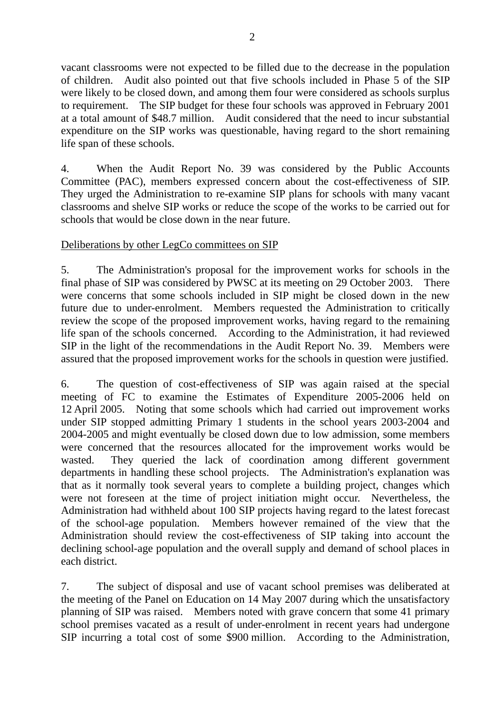vacant classrooms were not expected to be filled due to the decrease in the population of children. Audit also pointed out that five schools included in Phase 5 of the SIP were likely to be closed down, and among them four were considered as schools surplus to requirement. The SIP budget for these four schools was approved in February 2001 at a total amount of \$48.7 million. Audit considered that the need to incur substantial expenditure on the SIP works was questionable, having regard to the short remaining life span of these schools.

4. When the Audit Report No. 39 was considered by the Public Accounts Committee (PAC), members expressed concern about the cost-effectiveness of SIP. They urged the Administration to re-examine SIP plans for schools with many vacant classrooms and shelve SIP works or reduce the scope of the works to be carried out for schools that would be close down in the near future.

#### Deliberations by other LegCo committees on SIP

5. The Administration's proposal for the improvement works for schools in the final phase of SIP was considered by PWSC at its meeting on 29 October 2003. There were concerns that some schools included in SIP might be closed down in the new future due to under-enrolment. Members requested the Administration to critically review the scope of the proposed improvement works, having regard to the remaining life span of the schools concerned. According to the Administration, it had reviewed SIP in the light of the recommendations in the Audit Report No. 39. Members were assured that the proposed improvement works for the schools in question were justified.

6. The question of cost-effectiveness of SIP was again raised at the special meeting of FC to examine the Estimates of Expenditure 2005-2006 held on 12 April 2005. Noting that some schools which had carried out improvement works under SIP stopped admitting Primary 1 students in the school years 2003-2004 and 2004-2005 and might eventually be closed down due to low admission, some members were concerned that the resources allocated for the improvement works would be wasted. They queried the lack of coordination among different government departments in handling these school projects. The Administration's explanation was that as it normally took several years to complete a building project, changes which were not foreseen at the time of project initiation might occur. Nevertheless, the Administration had withheld about 100 SIP projects having regard to the latest forecast of the school-age population. Members however remained of the view that the Administration should review the cost-effectiveness of SIP taking into account the declining school-age population and the overall supply and demand of school places in each district.

7. The subject of disposal and use of vacant school premises was deliberated at the meeting of the Panel on Education on 14 May 2007 during which the unsatisfactory planning of SIP was raised. Members noted with grave concern that some 41 primary school premises vacated as a result of under-enrolment in recent years had undergone SIP incurring a total cost of some \$900 million. According to the Administration,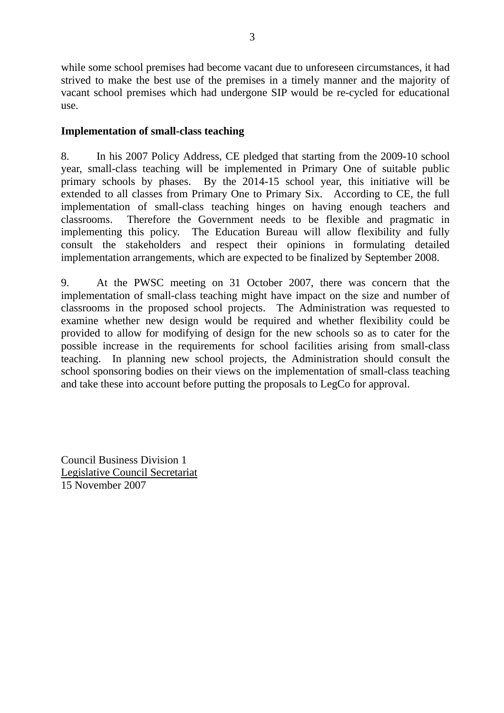while some school premises had become vacant due to unforeseen circumstances, it had strived to make the best use of the premises in a timely manner and the majority of vacant school premises which had undergone SIP would be re-cycled for educational use.

### **Implementation of small-class teaching**

8. In his 2007 Policy Address, CE pledged that starting from the 2009-10 school year, small-class teaching will be implemented in Primary One of suitable public primary schools by phases. By the 2014-15 school year, this initiative will be extended to all classes from Primary One to Primary Six. According to CE, the full implementation of small-class teaching hinges on having enough teachers and classrooms. Therefore the Government needs to be flexible and pragmatic in implementing this policy. The Education Bureau will allow flexibility and fully consult the stakeholders and respect their opinions in formulating detailed implementation arrangements, which are expected to be finalized by September 2008.

9. At the PWSC meeting on 31 October 2007, there was concern that the implementation of small-class teaching might have impact on the size and number of classrooms in the proposed school projects. The Administration was requested to examine whether new design would be required and whether flexibility could be provided to allow for modifying of design for the new schools so as to cater for the possible increase in the requirements for school facilities arising from small-class teaching. In planning new school projects, the Administration should consult the school sponsoring bodies on their views on the implementation of small-class teaching and take these into account before putting the proposals to LegCo for approval.

Council Business Division 1 Legislative Council Secretariat 15 November 2007